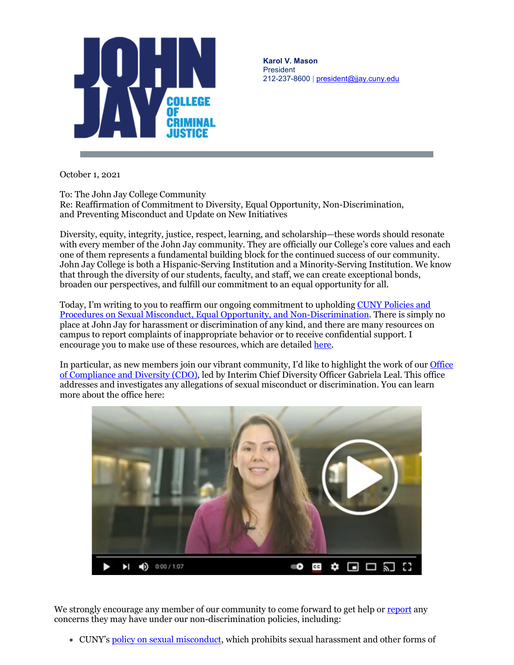

**Karol V. Mason** President 212-237-8600 | [president@jjay.cuny.edu](mailto:president@jjay.cuny.edu)

October 1, 2021

To: The John Jay College Community

Re: Reaffirmation of Commitment to Diversity, Equal Opportunity, Non-Discrimination, and Preventing Misconduct and Update on New Initiatives

Diversity, equity, integrity, justice, respect, learning, and scholarship—these words should resonate with every member of the John Jay community. They are officially our College's core values and each one of them represents a fundamental building block for the continued success of our community. John Jay College is both a Hispanic-Serving Institution and a Minority-Serving Institution. We know that through the diversity of our students, faculty, and staff, we can create exceptional bonds, broaden our perspectives, and fulfill our commitment to an equal opportunity for all.

Today, I'm writing to you to reaffirm our ongoing commitment to upholding CUNY Policies and [Procedures on Sexual Misconduct, Equal Opportunity, and Non-Discrimination.](https://r20.rs6.net/tn.jsp?f=001p4JRdLfV4OiJ_l-Uic2lefnBwglZI4x_pv_eFicYO2S_UtR2c1Z0fZMH857oqh4XHKJ5MenbEw2yUCsMj9QUU8HloGYHNd5y62wPGVAgP0UxAAHLuCikAP5LUD3_cZZo5PPjtwA_aCv4Vy43Kt3cIk2yx7mwsUG4JSAGjeYQ8h6DRju5voV_dJiNUq5HCMr4&c=XiyiaHZNcFxO9SdHKtZWgR3bHmxRtq6mzRdyP8zVGiqU8Ti1VbdZZw==&ch=02eJTLGN4leskg-t7L8l0-rgV1I1-8YMAaKohv7uur0Z1Sh84ErSig==) There is simply no place at John Jay for harassment or discrimination of any kind, and there are many resources on campus to report complaints of inappropriate behavior or to receive confidential support. I encourage you to make use of these resources, which are detailed [here.](https://r20.rs6.net/tn.jsp?f=001p4JRdLfV4OiJ_l-Uic2lefnBwglZI4x_pv_eFicYO2S_UtR2c1Z0fUZz4KCUtdbt0H8jQAZqN34YhsjswpZUnAMmDofnS_GvOUy0rrgD-9d2qeoOMk6h7uHgvQTOwdv0e8r0X_SQtGmlTk82xHbeIIX594Ot-c5e&c=XiyiaHZNcFxO9SdHKtZWgR3bHmxRtq6mzRdyP8zVGiqU8Ti1VbdZZw==&ch=02eJTLGN4leskg-t7L8l0-rgV1I1-8YMAaKohv7uur0Z1Sh84ErSig==)

In particular, as new members join our vibrant community, I'd like to highlight the work of ou[r Office](https://r20.rs6.net/tn.jsp?f=001p4JRdLfV4OiJ_l-Uic2lefnBwglZI4x_pv_eFicYO2S_UtR2c1Z0fUZz4KCUtdbt4L9ICt3Gdu-iW8RFEUTcSzQPrYhgpzvnkVgwwq-t1uoIcUf3bTu4JkXoP_OgYU5-2BnTlzJ2fk0zJJ6_IVKpCnxFr6hZgCsJLAdLlIaoYxIsDpU4TbW_SkeJuYq5sgW4eEToOgtCpIvJEiPMPy2mwDB58OLLN7gHOBMeXtFCfgPoaZKyGQjF2Q==&c=XiyiaHZNcFxO9SdHKtZWgR3bHmxRtq6mzRdyP8zVGiqU8Ti1VbdZZw==&ch=02eJTLGN4leskg-t7L8l0-rgV1I1-8YMAaKohv7uur0Z1Sh84ErSig==)  [of Compliance and Diversity \(CDO\),](https://r20.rs6.net/tn.jsp?f=001p4JRdLfV4OiJ_l-Uic2lefnBwglZI4x_pv_eFicYO2S_UtR2c1Z0fUZz4KCUtdbt4L9ICt3Gdu-iW8RFEUTcSzQPrYhgpzvnkVgwwq-t1uoIcUf3bTu4JkXoP_OgYU5-2BnTlzJ2fk0zJJ6_IVKpCnxFr6hZgCsJLAdLlIaoYxIsDpU4TbW_SkeJuYq5sgW4eEToOgtCpIvJEiPMPy2mwDB58OLLN7gHOBMeXtFCfgPoaZKyGQjF2Q==&c=XiyiaHZNcFxO9SdHKtZWgR3bHmxRtq6mzRdyP8zVGiqU8Ti1VbdZZw==&ch=02eJTLGN4leskg-t7L8l0-rgV1I1-8YMAaKohv7uur0Z1Sh84ErSig==) led by Interim Chief Diversity Officer Gabriela Leal. This office addresses and investigates any allegations of sexual misconduct or discrimination. You can learn more about the office here:



We strongly encourage any member of our community to come forward to get help or [report](https://r20.rs6.net/tn.jsp?f=001p4JRdLfV4OiJ_l-Uic2lefnBwglZI4x_pv_eFicYO2S_UtR2c1Z0fZMH857oqh4XRJBfUBgOUsaIF8u5MUT1y9-iWwe_mERq3x3W9As2x1YUf28qWFjld8-pcifA2dIu9OKyRTH0KaB2R2Tv6uvme1wy5AG60Fzb&c=XiyiaHZNcFxO9SdHKtZWgR3bHmxRtq6mzRdyP8zVGiqU8Ti1VbdZZw==&ch=02eJTLGN4leskg-t7L8l0-rgV1I1-8YMAaKohv7uur0Z1Sh84ErSig==) any concerns they may have under our non-discrimination policies, including:

• CUNY's [policy on sexual misconduct,](https://r20.rs6.net/tn.jsp?f=001p4JRdLfV4OiJ_l-Uic2lefnBwglZI4x_pv_eFicYO2S_UtR2c1Z0fY5zQHL-j4mRAYV3K69u0OlM_TzKtqiPlWLAGZPmpuSDEfhS0AHRwo1L2mm8k3wZmQJ3PtstRYQgTawnyezeqD2TtL3pFVIDsxutQk9VwkBz6cJgDxTU8TgnKkd7MC8cxw6PhHeyoufe9ojYHEu8ZiaS52iEGbKukZ-I0-7HNwN26fzw3PDPaUwYqTS6oiJ_aZF4WY5ICR80dhrN6oHZBt13T4ttj8wsphSsYNA1Iahp8UjYEOtmEwIb83VSwsRfsXpGTgZjpKiZ6VZdEaffV8t0h-Q9jeIUQA==&c=XiyiaHZNcFxO9SdHKtZWgR3bHmxRtq6mzRdyP8zVGiqU8Ti1VbdZZw==&ch=02eJTLGN4leskg-t7L8l0-rgV1I1-8YMAaKohv7uur0Z1Sh84ErSig==) which prohibits sexual harassment and other forms of